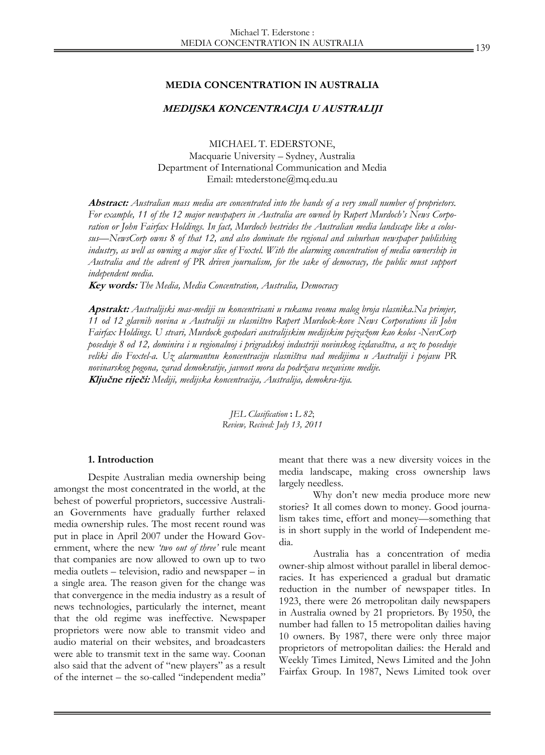#### **MEDIA CONCENTRATION IN AUSTRALIA**

### **MEDIJSKA KONCENTRACIJA U AUSTRALIJI**

MICHAEL T. EDERSTONE, Macquarie University – Sydney, Australia Department of International Communication and Media Email: mtederstone@mq.edu.au

**Abstract:** *Australian mass media are concentrated into the hands of a very small number of proprietors. For example, 11 of the 12 major newspapers in Australia are owned by Rupert Murdoch's News Corporation or John Fairfax Holdings. In fact, Murdoch bestrides the Australian media landscape like a colossus—NewsCorp owns 8 of that 12, and also dominate the regional and suburban newspaper publishing industry, as well as owning a major slice of Foxtel. With the alarming concentration of media ownership in Australia and the advent of PR driven journalism, for the sake of democracy, the public must support independent media.* 

**Key words:** *The Media, Media Concentration, Australia, Democracy* 

**Apstrakt:** *Australijski mas-mediji su koncentrisani u rukama veoma malog broja vlasnika.Na primjer, 11 od 12 glavnih novina u Australiji su vlasništvo Rupert Murdock-kove News Corporations ili John Fairfax Holdings. U stvari, Murdock gospodari australijskim medijskim pejzažom kao kolos -NevsCorp poseduje 8 od 12, dominira i u regionalnoj i prigradskoj industriji novinskog izdavaštva, a uz to poseduje veliki dio Foxtel-a. Uz alarmantnu koncentraciju vlasništva nad medijima u Australiji i pojavu PR novinarskog pogona, zarad demokratije, javnost mora da podržava nezavisne medije.*  **Ključne riječi:** *Mediji, medijska koncentracija, Australija, demokra-tija.* 

> *JEL Clasification* **:** *L 82*; *Review, Recived: July 13, 2011*

#### **1. Introduction**

Despite Australian media ownership being amongst the most concentrated in the world, at the behest of powerful proprietors, successive Australian Governments have gradually further relaxed media ownership rules. The most recent round was put in place in April 2007 under the Howard Government, where the new *'two out of three'* rule meant that companies are now allowed to own up to two media outlets – television, radio and newspaper – in a single area. The reason given for the change was that convergence in the media industry as a result of news technologies, particularly the internet, meant that the old regime was ineffective. Newspaper proprietors were now able to transmit video and audio material on their websites, and broadcasters were able to transmit text in the same way. Coonan also said that the advent of "new players" as a result of the internet – the so-called "independent media"

meant that there was a new diversity voices in the media landscape, making cross ownership laws largely needless.

 Why don't new media produce more new stories? It all comes down to money. Good journalism takes time, effort and money—something that is in short supply in the world of Independent media.

Australia has a concentration of media owner-ship almost without parallel in liberal democracies. It has experienced a gradual but dramatic reduction in the number of newspaper titles. In 1923, there were 26 metropolitan daily newspapers in Australia owned by 21 proprietors. By 1950, the number had fallen to 15 metropolitan dailies having 10 owners. By 1987, there were only three major proprietors of metropolitan dailies: the Herald and Weekly Times Limited, News Limited and the John Fairfax Group. In 1987, News Limited took over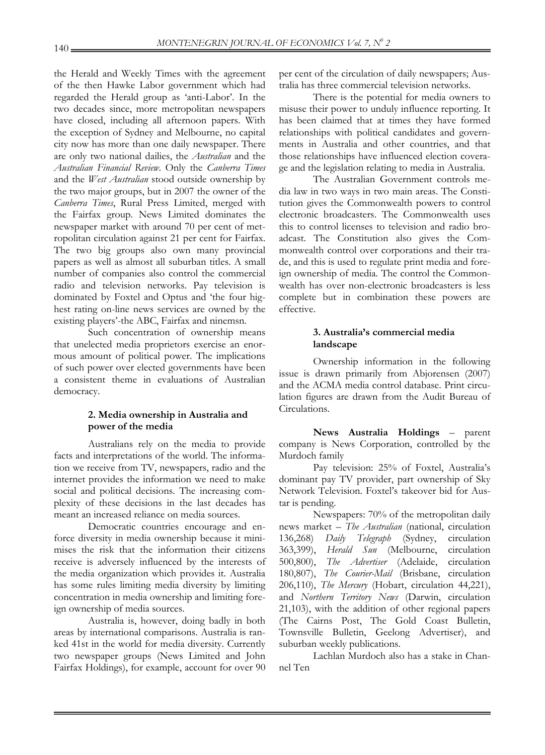the Herald and Weekly Times with the agreement of the then Hawke Labor government which had regarded the Herald group as 'anti-Labor'. In the two decades since, more metropolitan newspapers have closed, including all afternoon papers. With the exception of Sydney and Melbourne, no capital city now has more than one daily newspaper. There are only two national dailies, the *Australian* and the *Australian Financial Review*. Only the *Canberra Times*  and the *West Australian* stood outside ownership by the two major groups, but in 2007 the owner of the *Canberra Times*, Rural Press Limited, merged with the Fairfax group. News Limited dominates the newspaper market with around 70 per cent of metropolitan circulation against 21 per cent for Fairfax. The two big groups also own many provincial papers as well as almost all suburban titles. A small number of companies also control the commercial radio and television networks. Pay television is dominated by Foxtel and Optus and 'the four highest rating on-line news services are owned by the existing players'-the ABC, Fairfax and ninemsn.

 Such concentration of ownership means that unelected media proprietors exercise an enormous amount of political power. The implications of such power over elected governments have been a consistent theme in evaluations of Australian democracy.

# **2. Media ownership in Australia and power of the media**

 Australians rely on the media to provide facts and interpretations of the world. The information we receive from TV, newspapers, radio and the internet provides the information we need to make social and political decisions. The increasing complexity of these decisions in the last decades has meant an increased reliance on media sources.

 Democratic countries encourage and enforce diversity in media ownership because it minimises the risk that the information their citizens receive is adversely influenced by the interests of the media organization which provides it. Australia has some rules limiting media diversity by limiting concentration in media ownership and limiting foreign ownership of media sources.

 Australia is, however, doing badly in both areas by international comparisons. Australia is ranked 41st in the world for media diversity. Currently two newspaper groups (News Limited and John Fairfax Holdings), for example, account for over 90

per cent of the circulation of daily newspapers; Australia has three commercial television networks.

 There is the potential for media owners to misuse their power to unduly influence reporting. It has been claimed that at times they have formed relationships with political candidates and governments in Australia and other countries, and that those relationships have influenced election coverage and the legislation relating to media in Australia.

 The Australian Government controls media law in two ways in two main areas. The Constitution gives the Commonwealth powers to control electronic broadcasters. The Commonwealth uses this to control licenses to television and radio broadcast. The Constitution also gives the Commonwealth control over corporations and their trade, and this is used to regulate print media and foreign ownership of media. The control the Commonwealth has over non-electronic broadcasters is less complete but in combination these powers are effective.

### **3. Australia's commercial media landscape**

 Ownership information in the following issue is drawn primarily from Abjorensen (2007) and the ACMA media control database. Print circulation figures are drawn from the Audit Bureau of Circulations.

 **News Australia Holdings** – parent company is News Corporation, controlled by the Murdoch family

 Pay television: 25% of Foxtel, Australia's dominant pay TV provider, part ownership of Sky Network Television. Foxtel's takeover bid for Austar is pending.

 Newspapers: 70% of the metropolitan daily news market – *The Australian* (national, circulation 136,268) *Daily Telegraph* (Sydney, circulation 363,399), *Herald Sun* (Melbourne, circulation 500,800), *The Advertiser* (Adelaide, circulation 180,807), *The Courier-Mail* (Brisbane, circulation 206,110), *The Mercury* (Hobart, circulation 44,221), and *Northern Territory News* (Darwin, circulation 21,103), with the addition of other regional papers (The Cairns Post, The Gold Coast Bulletin, Townsville Bulletin, Geelong Advertiser), and suburban weekly publications.

 Lachlan Murdoch also has a stake in Channel Ten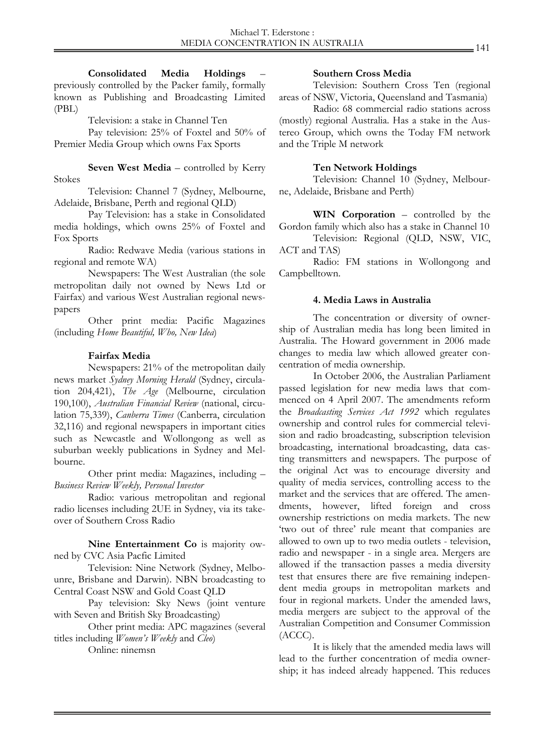**Consolidated Media Holdings** – previously controlled by the Packer family, formally known as Publishing and Broadcasting Limited (PBL)

Television: a stake in Channel Ten

 Pay television: 25% of Foxtel and 50% of Premier Media Group which owns Fax Sports

 **Seven West Media** – controlled by Kerry Stokes

 Television: Channel 7 (Sydney, Melbourne, Adelaide, Brisbane, Perth and regional QLD)

 Pay Television: has a stake in Consolidated media holdings, which owns 25% of Foxtel and Fox Sports

 Radio: Redwave Media (various stations in regional and remote WA)

 Newspapers: The West Australian (the sole metropolitan daily not owned by News Ltd or Fairfax) and various West Australian regional newspapers

 Other print media: Pacific Magazines (including *Home Beautiful, Who, New Idea*)

## **Fairfax Media**

 Newspapers: 21% of the metropolitan daily news market *Sydney Morning Herald* (Sydney, circulation 204,421), *The Age* (Melbourne, circulation 190,100), *Australian Financial Review* (national, circulation 75,339), *Canberra Times* (Canberra, circulation 32,116) and regional newspapers in important cities such as Newcastle and Wollongong as well as suburban weekly publications in Sydney and Melbourne.

 Other print media: Magazines, including – *Business Review Weekly, Personal Investor* 

 Radio: various metropolitan and regional radio licenses including 2UE in Sydney, via its takeover of Southern Cross Radio

 **Nine Entertainment Co** is majority owned by CVC Asia Pacfic Limited

 Television: Nine Network (Sydney, Melbounre, Brisbane and Darwin). NBN broadcasting to Central Coast NSW and Gold Coast QLD

 Pay television: Sky News (joint venture with Seven and British Sky Broadcasting)

 Other print media: APC magazines (several titles including *Women's Weekly* and *Cleo*)

Online: ninemsn

#### **Southern Cross Media**

 Television: Southern Cross Ten (regional areas of NSW, Victoria, Queensland and Tasmania)

 Radio: 68 commercial radio stations across (mostly) regional Australia. Has a stake in the Austereo Group, which owns the Today FM network and the Triple M network

## **Ten Network Holdings**

 Television: Channel 10 (Sydney, Melbourne, Adelaide, Brisbane and Perth)

 **WIN Corporation** – controlled by the Gordon family which also has a stake in Channel 10

 Television: Regional (QLD, NSW, VIC, ACT and TAS)

 Radio: FM stations in Wollongong and Campbelltown.

## **4. Media Laws in Australia**

 The concentration or diversity of ownership of Australian media has long been limited in Australia. The Howard government in 2006 made changes to media law which allowed greater concentration of media ownership.

 In October 2006, the Australian Parliament passed legislation for new media laws that commenced on 4 April 2007. The amendments reform the *Broadcasting Services Act 1992* which regulates ownership and control rules for commercial television and radio broadcasting, subscription television broadcasting, international broadcasting, data casting transmitters and newspapers. The purpose of the original Act was to encourage diversity and quality of media services, controlling access to the market and the services that are offered. The amendments, however, lifted foreign and cross ownership restrictions on media markets. The new 'two out of three' rule meant that companies are allowed to own up to two media outlets - television, radio and newspaper - in a single area. Mergers are allowed if the transaction passes a media diversity test that ensures there are five remaining independent media groups in metropolitan markets and four in regional markets. Under the amended laws, media mergers are subject to the approval of the Australian Competition and Consumer Commission (ACCC).

 It is likely that the amended media laws will lead to the further concentration of media ownership; it has indeed already happened. This reduces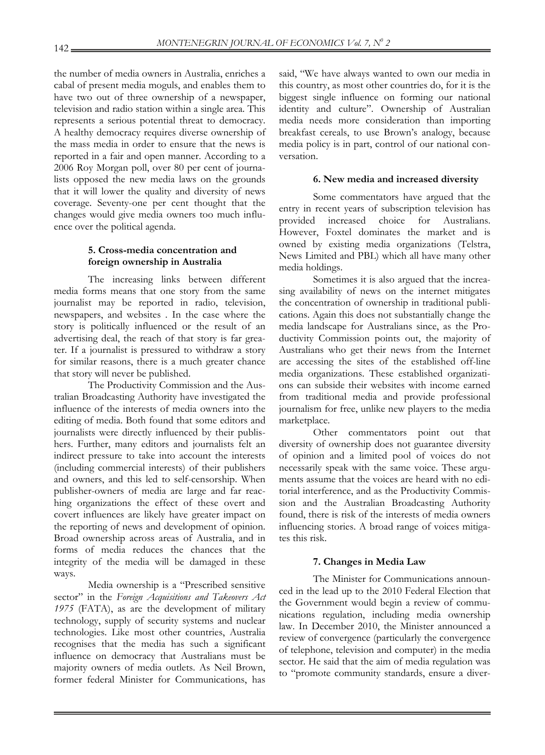the number of media owners in Australia, enriches a cabal of present media moguls, and enables them to have two out of three ownership of a newspaper, television and radio station within a single area. This represents a serious potential threat to democracy. A healthy democracy requires diverse ownership of the mass media in order to ensure that the news is reported in a fair and open manner. According to a 2006 Roy Morgan poll, over 80 per cent of journalists opposed the new media laws on the grounds that it will lower the quality and diversity of news coverage. Seventy-one per cent thought that the changes would give media owners too much influence over the political agenda.

## **5. Cross-media concentration and foreign ownership in Australia**

 The increasing links between different media forms means that one story from the same journalist may be reported in radio, television, newspapers, and websites . In the case where the story is politically influenced or the result of an advertising deal, the reach of that story is far greater. If a journalist is pressured to withdraw a story for similar reasons, there is a much greater chance that story will never be published.

 The Productivity Commission and the Australian Broadcasting Authority have investigated the influence of the interests of media owners into the editing of media. Both found that some editors and journalists were directly influenced by their publishers. Further, many editors and journalists felt an indirect pressure to take into account the interests (including commercial interests) of their publishers and owners, and this led to self-censorship. When publisher-owners of media are large and far reaching organizations the effect of these overt and covert influences are likely have greater impact on the reporting of news and development of opinion. Broad ownership across areas of Australia, and in forms of media reduces the chances that the integrity of the media will be damaged in these ways.

 Media ownership is a "Prescribed sensitive sector" in the *Foreign Acquisitions and Takeovers Act 1975* (FATA), as are the development of military technology, supply of security systems and nuclear technologies. Like most other countries, Australia recognises that the media has such a significant influence on democracy that Australians must be majority owners of media outlets. As Neil Brown, former federal Minister for Communications, has

said, "We have always wanted to own our media in this country, as most other countries do, for it is the biggest single influence on forming our national identity and culture". Ownership of Australian media needs more consideration than importing breakfast cereals, to use Brown's analogy, because media policy is in part, control of our national conversation.

### **6. New media and increased diversity**

 Some commentators have argued that the entry in recent years of subscription television has provided increased choice for Australians. However, Foxtel dominates the market and is owned by existing media organizations (Telstra, News Limited and PBL) which all have many other media holdings.

 Sometimes it is also argued that the increasing availability of news on the internet mitigates the concentration of ownership in traditional publications. Again this does not substantially change the media landscape for Australians since, as the Productivity Commission points out, the majority of Australians who get their news from the Internet are accessing the sites of the established off-line media organizations. These established organizations can subside their websites with income earned from traditional media and provide professional journalism for free, unlike new players to the media marketplace.

 Other commentators point out that diversity of ownership does not guarantee diversity of opinion and a limited pool of voices do not necessarily speak with the same voice. These arguments assume that the voices are heard with no editorial interference, and as the Productivity Commission and the Australian Broadcasting Authority found, there is risk of the interests of media owners influencing stories. A broad range of voices mitigates this risk.

#### **7. Changes in Media Law**

 The Minister for Communications announced in the lead up to the 2010 Federal Election that the Government would begin a review of communications regulation, including media ownership law. In December 2010, the Minister announced a review of convergence (particularly the convergence of telephone, television and computer) in the media sector. He said that the aim of media regulation was to "promote community standards, ensure a diver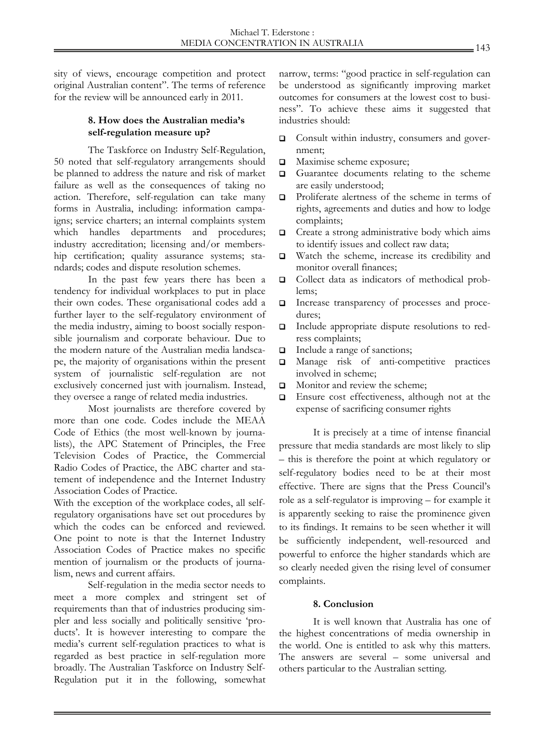sity of views, encourage competition and protect original Australian content". The terms of reference for the review will be announced early in 2011.

## **8. How does the Australian media's self-regulation measure up?**

 The Taskforce on Industry Self-Regulation, 50 noted that self-regulatory arrangements should be planned to address the nature and risk of market failure as well as the consequences of taking no action. Therefore, self-regulation can take many forms in Australia, including: information campaigns; service charters; an internal complaints system which handles departments and procedures; industry accreditation; licensing and/or membership certification; quality assurance systems; standards; codes and dispute resolution schemes.

 In the past few years there has been a tendency for individual workplaces to put in place their own codes. These organisational codes add a further layer to the self-regulatory environment of the media industry, aiming to boost socially responsible journalism and corporate behaviour. Due to the modern nature of the Australian media landscape, the majority of organisations within the present system of journalistic self-regulation are not exclusively concerned just with journalism. Instead, they oversee a range of related media industries.

 Most journalists are therefore covered by more than one code. Codes include the MEAA Code of Ethics (the most well-known by journalists), the APC Statement of Principles, the Free Television Codes of Practice, the Commercial Radio Codes of Practice, the ABC charter and statement of independence and the Internet Industry Association Codes of Practice.

With the exception of the workplace codes, all selfregulatory organisations have set out procedures by which the codes can be enforced and reviewed. One point to note is that the Internet Industry Association Codes of Practice makes no specific mention of journalism or the products of journalism, news and current affairs.

 Self-regulation in the media sector needs to meet a more complex and stringent set of requirements than that of industries producing simpler and less socially and politically sensitive 'products'. It is however interesting to compare the media's current self-regulation practices to what is regarded as best practice in self-regulation more broadly. The Australian Taskforce on Industry Self-Regulation put it in the following, somewhat

narrow, terms: "good practice in self-regulation can be understood as significantly improving market outcomes for consumers at the lowest cost to business". To achieve these aims it suggested that industries should:

- □ Consult within industry, consumers and government;
- **Q** Maximise scheme exposure;
- Guarantee documents relating to the scheme are easily understood;
- **Q** Proliferate alertness of the scheme in terms of rights, agreements and duties and how to lodge complaints;
- $\Box$  Create a strong administrative body which aims to identify issues and collect raw data;
- Watch the scheme, increase its credibility and monitor overall finances;
- Collect data as indicators of methodical problems;
- Increase transparency of processes and procedures;
- Include appropriate dispute resolutions to redress complaints;
- Include a range of sanctions;
- Manage risk of anti-competitive practices involved in scheme;
- $\Box$  Monitor and review the scheme:
- $\Box$  Ensure cost effectiveness, although not at the expense of sacrificing consumer rights

It is precisely at a time of intense financial pressure that media standards are most likely to slip – this is therefore the point at which regulatory or self-regulatory bodies need to be at their most effective. There are signs that the Press Council's role as a self-regulator is improving – for example it is apparently seeking to raise the prominence given to its findings. It remains to be seen whether it will be sufficiently independent, well-resourced and powerful to enforce the higher standards which are so clearly needed given the rising level of consumer complaints.

# **8. Conclusion**

 It is well known that Australia has one of the highest concentrations of media ownership in the world. One is entitled to ask why this matters. The answers are several – some universal and others particular to the Australian setting.